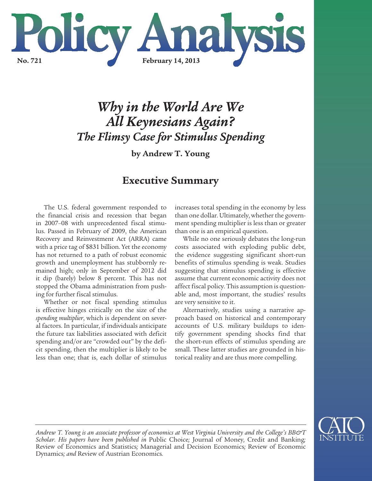

# *Why in the World Are We All Keynesians Again? The Flimsy Case for Stimulus Spending*

**by Andrew T. Young**

# **Executive Summary**

The U.S. federal government responded to the financial crisis and recession that began in 2007–08 with unprecedented fiscal stimulus. Passed in February of 2009, the American Recovery and Reinvestment Act (ARRA) came with a price tag of \$831 billion. Yet the economy has not returned to a path of robust economic growth and unemployment has stubbornly remained high; only in September of 2012 did it dip (barely) below 8 percent. This has not stopped the Obama administration from pushing for further fiscal stimulus.

Whether or not fiscal spending stimulus is effective hinges critically on the size of the *spending multiplier*, which is dependent on several factors. In particular, if individuals anticipate the future tax liabilities associated with deficit spending and/or are "crowded out" by the deficit spending, then the multiplier is likely to be less than one; that is, each dollar of stimulus increases total spending in the economy by less than one dollar. Ultimately, whether the government spending multiplier is less than or greater than one is an empirical question.

While no one seriously debates the long-run costs associated with exploding public debt, the evidence suggesting significant short-run benefits of stimulus spending is weak. Studies suggesting that stimulus spending is effective assume that current economic activity does not affect fiscal policy. This assumption is questionable and, most important, the studies' results are very sensitive to it.

Alternatively, studies using a narrative approach based on historical and contemporary accounts of U.S. military buildups to identify government spending shocks find that the short-run effects of stimulus spending are small. These latter studies are grounded in historical reality and are thus more compelling.



*Andrew T. Young is an associate professor of economics at West Virginia University and the College's BB&T Scholar. His papers have been published in* Public Choice*;* Journal of Money*,* Credit and Banking*;*  Review of Economics and Statistics*;* Managerial and Decision Economics*;* Review of Economic Dynamics*; and* Review of Austrian Economics*.*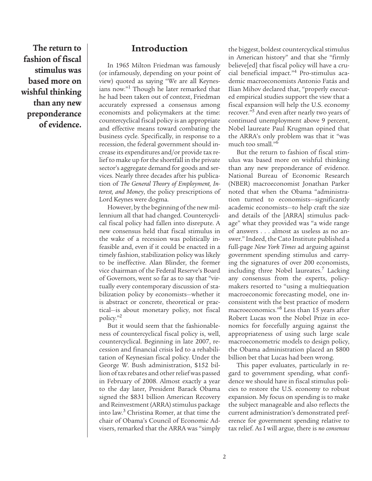**The return to fashion of fiscal stimulus was based more on wishful thinking than any new preponderance of evidence.**

### **Introduction**

In 1965 Milton Friedman was famously (or infamously, depending on your point of view) quoted as saying "We are all Keynesians now."<sup>1</sup> Though he later remarked that he had been taken out of context, Friedman accurately expressed a consensus among economists and policymakers at the time: countercyclical fiscal policy is an appropriate and effective means toward combating the business cycle. Specifically, in response to a recession, the federal government should increase its expenditures and/or provide tax relief to make up for the shortfall in the private sector's aggregate demand for goods and services. Nearly three decades after his publication of *The General Theory of Employment, Interest, and Money*, the policy prescriptions of Lord Keynes were dogma.

However, by the beginning of the new millennium all that had changed. Countercyclical fiscal policy had fallen into disrepute. A new consensus held that fiscal stimulus in the wake of a recession was politically infeasible and, even if it could be enacted in a timely fashion, stabilization policy was likely to be ineffective. Alan Blinder, the former vice chairman of the Federal Reserve's Board of Governors, went so far as to say that "virtually every contemporary discussion of stabilization policy by economists—whether it is abstract or concrete, theoretical or practical—is about monetary policy, not fiscal policy."2

But it would seem that the fashionableness of countercyclical fiscal policy is, well, countercyclical. Beginning in late 2007, recession and financial crisis led to a rehabilitation of Keynesian fiscal policy. Under the George W. Bush administration, \$152 billion of tax rebates and other relief was passed in February of 2008. Almost exactly a year to the day later, President Barack Obama signed the \$831 billion American Recovery and Reinvestment (ARRA) stimulus package into law.3 Christina Romer, at that time the chair of Obama's Council of Economic Advisers, remarked that the ARRA was "simply the biggest, boldest countercyclical stimulus in American history" and that she "firmly believe[ed] that fiscal policy will have a crucial beneficial impact."4 Pro-stimulus academic macroeconomists Antonio Fatás and Ilian Mihov declared that, "properly executed empirical studies support the view that a fiscal expansion will help the U.S. economy recover."5 And even after nearly two years of continued unemployment above 9 percent, Nobel laureate Paul Krugman opined that the ARRA's only problem was that it "was much too small."6

But the return to fashion of fiscal stimulus was based more on wishful thinking than any new preponderance of evidence. National Bureau of Economic Research (NBER) macroeconomist Jonathan Parker noted that when the Obama "administration turned to economists—significantly academic economists—to help craft the size and details of the [ARRA] stimulus package" what they provided was "a wide range of answers . . . almost as useless as no answer." Indeed, the Cato Institute published a full-page *New York Times* ad arguing against government spending stimulus and carrying the signatures of over 200 economists, including three Nobel laureates.<sup>7</sup> Lacking any consensus from the experts, policymakers resorted to "using a multiequation macroeconomic forecasting model, one inconsistent with the best practice of modern macroeconomics."8 Less than 15 years after Robert Lucas won the Nobel Prize in economics for forcefully arguing against the appropriateness of using such large scale macroeconometric models to design policy, the Obama administration placed an \$800 billion bet that Lucas had been wrong.

This paper evaluates, particularly in regard to government spending, what confidence we should have in fiscal stimulus policies to restore the U.S. economy to robust expansion. My focus on spending is to make the subject manageable and also reflects the current administration's demonstrated preference for government spending relative to tax relief. As I will argue, there is *no consensus*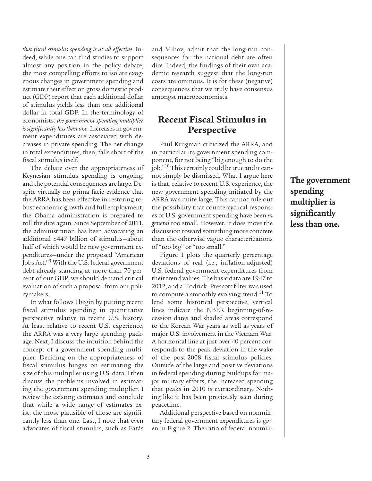*that fiscal stimulus spending is at all effective*. Indeed, while one can find studies to support almost any position in the policy debate, the most compelling efforts to isolate exogenous changes in government spending and estimate their effect on gross domestic product (GDP) report that each additional dollar of stimulus yields less than one additional dollar in total GDP. In the terminology of economists: *the government spending multiplier is significantly less than one*. Increases in government expenditures are associated with decreases in private spending. The net change in total expenditures, then, falls short of the fiscal stimulus itself.

The debate over the appropriateness of Keynesian stimulus spending is ongoing, and the potential consequences are large. Despite virtually no prima facie evidence that the ARRA has been effective in restoring robust economic growth and full employment, the Obama administration is prepared to roll the dice again. Since September of 2011, the administration has been advocating an additional \$447 billion of stimulus—about half of which would be new government expenditures—under the proposed "American Jobs Act."9 With the U.S. federal government debt already standing at more than 70 percent of our GDP, we should demand critical evaluation of such a proposal from our policymakers.

In what follows I begin by putting recent fiscal stimulus spending in quantitative perspective relative to recent U.S. history. At least relative to recent U.S. experience, the ARRA was a very large spending package. Next, I discuss the intuition behind the concept of a government spending multiplier. Deciding on the appropriateness of fiscal stimulus hinges on estimating the size of this multiplier using U.S. data. I then discuss the problems involved in estimating the government spending multiplier. I review the existing estimates and conclude that while a wide range of estimates exist, the most plausible of those are significantly less than one. Last, I note that even advocates of fiscal stimulus, such as Fatás and Mihov, admit that the long-run consequences for the national debt are often dire. Indeed, the findings of their own academic research suggest that the long-run costs are ominous. It is for these (negative) consequences that we truly have consensus amongst macroeconomists.

# **Recent Fiscal Stimulus in Perspective**

Paul Krugman criticized the ARRA, and in particular its government spending component, for not being "big enough to do the job."<sup>10</sup> This certainly could be true and it cannot simply be dismissed. What I argue here is that, relative to recent U.S. experience, the new government spending initiated by the ARRA was quite large. This cannot rule out the possibility that countercyclical responses of U.S. government spending have been *in general* too small. However, it does move the discussion toward something more concrete than the otherwise vague characterizations of "too big" or "too small."

Figure 1 plots the quarterly percentage deviations of real (i.e., inflation-adjusted) U.S. federal government expenditures from their trend values. The basic data are 1947 to 2012, and a Hodrick–Prescott filter was used to compute a smoothly evolving trend.<sup>11</sup> To lend some historical perspective, vertical lines indicate the NBER beginning-of-recession dates and shaded areas correspond to the Korean War years as well as years of major U.S. involvement in the Vietnam War. A horizontal line at just over 40 percent corresponds to the peak deviation in the wake of the post-2008 fiscal stimulus policies. Outside of the large and positive deviations in federal spending during buildups for major military efforts, the increased spending that peaks in 2010 is extraordinary. Nothing like it has been previously seen during peacetime.

Additional perspective based on nonmilitary federal government expenditures is given in Figure 2. The ratio of federal nonmili**The government spending multiplier is significantly less than one.**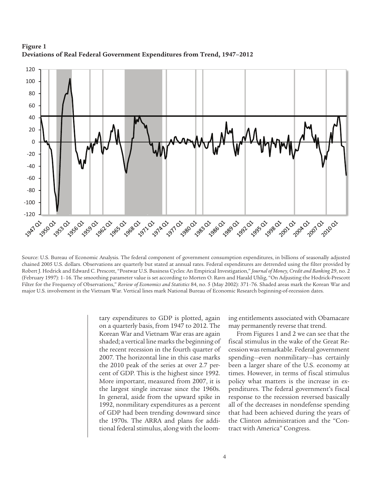**Figure 1 Deviations of Real Federal Government Expenditures from Trend, 1947–2012**



Source: U.S. Bureau of Economic Analysis. The federal component of government consumption expenditures, in billions of seasonally adjusted chained 2005 U.S. dollars. Observations are quarterly but stated at annual rates. Federal expenditures are detrended using the filter provided by Robert J. Hodrick and Edward C. Prescott, "Postwar U.S. Business Cycles: An Empirical Investigation," *Journal of Money, Credit and Banking* 29, no. 2 (February 1997): 1–16. The smoothing parameter value is set according to Morten O. Ravn and Harald Uhlig, "On Adjusting the Hodrick-Prescott Filter for the Frequency of Observations," *Review of Economics and Statistics* 84, no. 5 (May 2002): 371–76. Shaded areas mark the Korean War and major U.S. involvement in the Vietnam War. Vertical lines mark National Bureau of Economic Research beginning-of-recession dates.

tary expenditures to GDP is plotted, again on a quarterly basis, from 1947 to 2012. The Korean War and Vietnam War eras are again shaded; a vertical line marks the beginning of the recent recession in the fourth quarter of 2007. The horizontal line in this case marks the 2010 peak of the series at over 2.7 percent of GDP. This is the highest since 1992. More important, measured from 2007, it is the largest single increase since the 1960s. In general, aside from the upward spike in 1992, nonmilitary expenditures as a percent of GDP had been trending downward since the 1970s. The ARRA and plans for additional federal stimulus, along with the looming entitlements associated with Obamacare may permanently reverse that trend.

From Figures 1 and 2 we can see that the fiscal stimulus in the wake of the Great Recession was remarkable. Federal government spending—even nonmilitary—has certainly been a larger share of the U.S. economy at times. However, in terms of fiscal stimulus policy what matters is the increase in expenditures. The federal government's fiscal response to the recession reversed basically all of the decreases in nondefense spending that had been achieved during the years of the Clinton administration and the "Contract with America" Congress.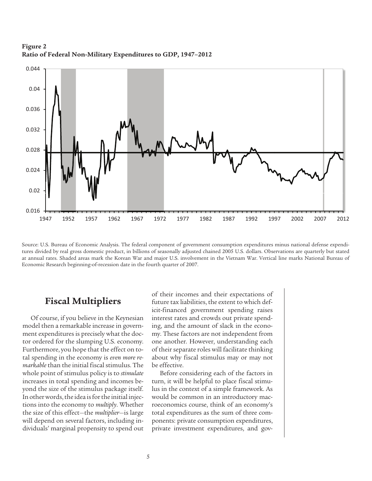

**Figure 2 Ratio of Federal Non-Military Expenditures to GDP, 1947–2012**

Source: U.S. Bureau of Economic Analysis. The federal component of government consumption expenditures minus national defense expenditures divided by real gross domestic product, in billions of seasonally adjusted chained 2005 U.S. dollars. Observations are quarterly but stated at annual rates. Shaded areas mark the Korean War and major U.S. involvement in the Vietnam War. Vertical line marks National Bureau of Economic Research beginning-of-recession date in the fourth quarter of 2007.

### **Fiscal Multipliers**

Of course, if you believe in the Keynesian model then a remarkable increase in government expenditures is precisely what the doctor ordered for the slumping U.S. economy. Furthermore, you hope that the effect on total spending in the economy is *even more remarkable* than the initial fiscal stimulus. The whole point of stimulus policy is to *stimulate* increases in total spending and incomes beyond the size of the stimulus package itself. In other words, the idea is for the initial injections into the economy to *multiply*. Whether the size of this effect—the *multiplier*—is large will depend on several factors, including individuals' marginal propensity to spend out of their incomes and their expectations of future tax liabilities, the extent to which deficit-financed government spending raises interest rates and crowds out private spending, and the amount of slack in the economy. These factors are not independent from one another. However, understanding each of their separate roles will facilitate thinking about why fiscal stimulus may or may not be effective.

Before considering each of the factors in turn, it will be helpful to place fiscal stimulus in the context of a simple framework. As would be common in an introductory macroeconomics course, think of an economy's total expenditures as the sum of three components: private consumption expenditures, private investment expenditures, and gov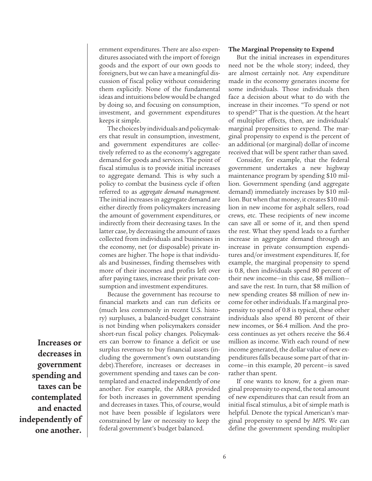ernment expenditures. There are also expenditures associated with the import of foreign goods and the export of our own goods to foreigners, but we can have a meaningful discussion of fiscal policy without considering them explicitly. None of the fundamental ideas and intuitions below would be changed by doing so, and focusing on consumption, investment, and government expenditures keeps it simple.

The choices by individuals and policymakers that result in consumption, investment, and government expenditures are collectively referred to as the economy's aggregate demand for goods and services. The point of fiscal stimulus is to provide initial increases to aggregate demand. This is why such a policy to combat the business cycle if often referred to as *aggregate demand management*. The initial increases in aggregate demand are either directly from policymakers increasing the amount of government expenditures, or indirectly from their decreasing taxes. In the latter case, by decreasing the amount of taxes collected from individuals and businesses in the economy, net (or disposable) private incomes are higher. The hope is that individuals and businesses, finding themselves with more of their incomes and profits left over after paying taxes, increase their private consumption and investment expenditures.

Because the government has recourse to financial markets and can run deficits or (much less commonly in recent U.S. history) surpluses, a balanced-budget constraint is not binding when policymakers consider short-run fiscal policy changes. Policymakers can borrow to finance a deficit or use surplus revenues to buy financial assets (including the government's own outstanding debt).Therefore, increases or decreases in government spending and taxes can be contemplated and enacted independently of one another. For example, the ARRA provided for both increases in government spending and decreases in taxes. This, of course, would not have been possible if legislators were constrained by law or necessity to keep the federal government's budget balanced.

#### **The Marginal Propensity to Expend**

But the initial increases in expenditures need not be the whole story; indeed, they are almost certainly not. Any expenditure made in the economy generates income for some individuals. Those individuals then face a decision about what to do with the increase in their incomes. "To spend or not to spend?" That is the question. At the heart of multiplier effects, then, are individuals' marginal propensities to expend. The marginal propensity to expend is the percent of an additional (or marginal) dollar of income received that will be spent rather than saved.

Consider, for example, that the federal government undertakes a new highway maintenance program by spending \$10 million. Government spending (and aggregate demand) immediately increases by \$10 million. But when that money, it creates \$10 million in new income for asphalt sellers, road crews, etc. These recipients of new income can save all or some of it, and then spend the rest. What they spend leads to a further increase in aggregate demand through an increase in private consumption expenditures and/or investment expenditures. If, for example, the marginal propensity to spend is 0.8, then individuals spend 80 percent of their new income—in this case, \$8 million and save the rest. In turn, that \$8 million of new spending creates \$8 million of new income for other individuals. If a marginal propensity to spend of 0.8 is typical, these other individuals also spend 80 percent of their new incomes, or \$6.4 million. And the process continues as yet others receive the \$6.4 million as income. With each round of new income generated, the dollar value of new expenditures falls because some part of that income—in this example, 20 percent—is saved rather than spent.

If one wants to know, for a given marginal propensity to expend, the total amount of new expenditures that can result from an initial fiscal stimulus, a bit of simple math is helpful. Denote the typical American's marginal propensity to spend by *MPS*. We can define the government spending multiplier

**Increases or decreases in government spending and taxes can be contemplated and enacted independently of one another.**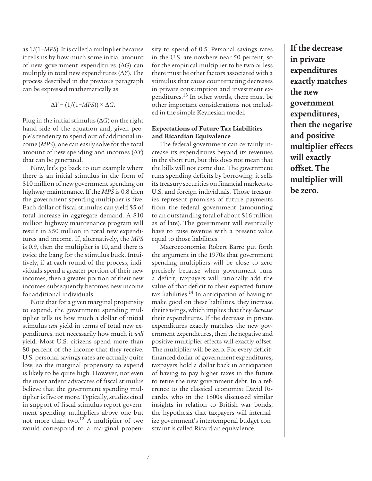as 1/(1−*MPS*). It is called a multiplier because it tells us by how much some initial amount of new government expenditures (*G*) can multiply in total new expenditures  $(\Delta Y)$ . The process described in the previous paragraph can be expressed mathematically as

$$
\Delta Y = (1/(1-MPS)) \times \Delta G.
$$

Plug in the initial stimulus  $(\Delta G)$  on the right hand side of the equation and, given people's tendency to spend out of additional income (*MPS*), one can easily solve for the total amount of new spending and incomes  $(\Delta Y)$ that can be generated.

Now, let's go back to our example where there is an initial stimulus in the form of \$10 million of new government spending on highway maintenance. If the *MPS* is 0.8 then the government spending multiplier is five. Each dollar of fiscal stimulus can yield \$5 of total increase in aggregate demand. A \$10 million highway maintenance program will result in \$50 million in total new expenditures and income. If, alternatively, the *MPS* is 0.9, then the multiplier is 10, and there is twice the bang for the stimulus buck. Intuitively, if at each round of the process, individuals spend a greater portion of their new incomes, then a greater portion of their new incomes subsequently becomes new income for additional individuals.

Note that for a given marginal propensity to expend, the government spending multiplier tells us how much a dollar of initial stimulus *can* yield in terms of total new expenditures; not necessarily how much it *will* yield. Most U.S. citizens spend more than 80 percent of the income that they receive. U.S. personal savings rates are actually quite low, so the marginal propensity to expend is likely to be quite high. However, not even the most ardent advocates of fiscal stimulus believe that the government spending multiplier is five or more. Typically, studies cited in support of fiscal stimulus report government spending multipliers above one but not more than two.12 A multiplier of two would correspond to a marginal propensity to spend of 0.5. Personal savings rates in the U.S. are nowhere near 50 percent, so for the empirical multiplier to be two or less there must be other factors associated with a stimulus that cause counteracting decreases in private consumption and investment expenditures.13 In other words, there must be other important considerations not included in the simple Keynesian model.

### **Expectations of Future Tax Liabilities and Ricardian Equivalence**

The federal government can certainly increase its expenditures beyond its revenues in the short run, but this does not mean that the bills will not come due. The government runs spending deficits by borrowing; it sells its treasury securities on financial markets to U.S. and foreign individuals. Those treasuries represent promises of future payments from the federal government (amounting to an outstanding total of about \$16 trillion as of late). The government will eventually have to raise revenue with a present value equal to those liabilities.

Macroeconomist Robert Barro put forth the argument in the 1970s that government spending multipliers will be close to zero precisely because when government runs a deficit, taxpayers will rationally add the value of that deficit to their expected future tax liabilities.14 In anticipation of having to make good on these liabilities, they increase their savings, which implies that they *decrease* their expenditures. If the decrease in private expenditures exactly matches the new government expenditures, then the negative and positive multiplier effects will exactly offset. The multiplier will be zero. For every deficitfinanced dollar of government expenditures, taxpayers hold a dollar back in anticipation of having to pay higher taxes in the future to retire the new government debt. In a reference to the classical economist David Ricardo, who in the 1800s discussed similar insights in relation to British war bonds, the hypothesis that taxpayers will internalize government's intertemporal budget constraint is called Ricardian equivalence.

**If the decrease in private expenditures exactly matches the new government expenditures, then the negative and positive multiplier effects will exactly offset. The multiplier will be zero.**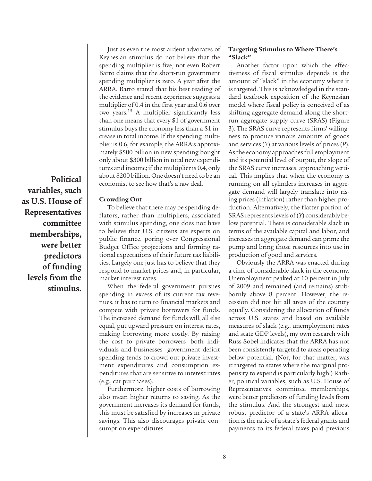**Political variables, such as U.S. House of Representatives committee memberships, were better predictors of funding levels from the stimulus.**

Just as even the most ardent advocates of Keynesian stimulus do not believe that the spending multiplier is five, not even Robert Barro claims that the short-run government spending multiplier is zero. A year after the ARRA, Barro stated that his best reading of the evidence and recent experience suggests a multiplier of 0.4 in the first year and 0.6 over two years.<sup>15</sup> A multiplier significantly less than one means that every \$1 of government stimulus buys the economy less than a \$1 increase in total income. If the spending multiplier is 0.6, for example, the ARRA's approximately \$500 billion in new spending bought only about \$300 billion in total new expenditures and income; if the multiplier is 0.4, only about \$200 billion. One doesn't need to be an economist to see how that's a raw deal.

#### **Crowding Out**

To believe that there may be spending deflators, rather than multipliers, associated with stimulus spending, one does not have to believe that U.S. citizens are experts on public finance, poring over Congressional Budget Office projections and forming rational expectations of their future tax liabilities. Largely one just has to believe that they respond to market prices and, in particular, market interest rates.

When the federal government pursues spending in excess of its current tax revenues, it has to turn to financial markets and compete with private borrowers for funds. The increased demand for funds will, all else equal, put upward pressure on interest rates, making borrowing more costly. By raising the cost to private borrowers—both individuals and businesses—government deficit spending tends to crowd out private investment expenditures and consumption expenditures that are sensitive to interest rates (e.g., car purchases).

Furthermore, higher costs of borrowing also mean higher returns to saving. As the government increases its demand for funds, this must be satisfied by increases in private savings. This also discourages private consumption expenditures.

#### **Targeting Stimulus to Where There's "Slack"**

Another factor upon which the effectiveness of fiscal stimulus depends is the amount of "slack" in the economy where it is targeted. This is acknowledged in the standard textbook exposition of the Keynesian model where fiscal policy is conceived of as shifting aggregate demand along the shortrun aggregate supply curve (SRAS) (Figure 3). The SRAS curve represents firms' willingness to produce various amounts of goods and services (*Y*) at various levels of prices (*P*). As the economy approaches full employment and its potential level of output, the slope of the SRAS curve increases, approaching vertical. This implies that when the economy is running on all cylinders increases in aggregate demand will largely translate into rising prices (inflation) rather than higher production. Alternatively, the flatter portion of SRAS represents levels of (*Y*) considerably below potential. There is considerable slack in terms of the available capital and labor, and increases in aggregate demand can prime the pump and bring those resources into use in production of good and services.

Obviously the ARRA was enacted during a time of considerable slack in the economy. Unemployment peaked at 10 percent in July of 2009 and remained (and remains) stubbornly above 8 percent. However, the recession did not hit all areas of the country equally. Considering the allocation of funds across U.S. states and based on available measures of slack (e.g., unemployment rates and state GDP levels), my own research with Russ Sobel indicates that the ARRA has not been consistently targeted to areas operating below potential. (Nor, for that matter, was it targeted to states where the marginal propensity to expend is particularly high.) Rather, political variables, such as U.S. House of Representatives committee memberships, were better predictors of funding levels from the stimulus. And the strongest and most robust predictor of a state's ARRA allocation is the ratio of a state's federal grants and payments to its federal taxes paid previous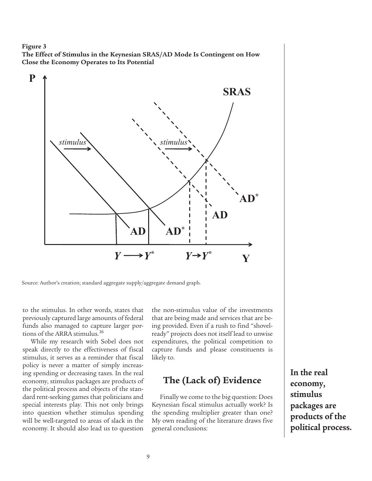#### **Figure 3**

**The Effect of Stimulus in the Keynesian SRAS/AD Mode Is Contingent on How Close the Economy Operates to Its Potential**



Source: Author's creation; standard aggregate supply/aggregate demand graph.

to the stimulus. In other words, states that previously captured large amounts of federal funds also managed to capture larger portions of the ARRA stimulus.16

While my research with Sobel does not speak directly to the effectiveness of fiscal stimulus, it serves as a reminder that fiscal policy is never a matter of simply increasing spending or decreasing taxes. In the real economy, stimulus packages are products of the political process and objects of the standard rent-seeking games that politicians and special interests play. This not only brings into question whether stimulus spending will be well-targeted to areas of slack in the economy. It should also lead us to question

the non-stimulus value of the investments that are being made and services that are being provided. Even if a rush to find "shovelready" projects does not itself lead to unwise expenditures, the political competition to capture funds and please constituents is likely to.

# **The (Lack of) Evidence**

Finally we come to the big question: Does Keynesian fiscal stimulus actually work? Is the spending multiplier greater than one? My own reading of the literature draws five general conclusions:

**In the real economy, stimulus packages are products of the political process.**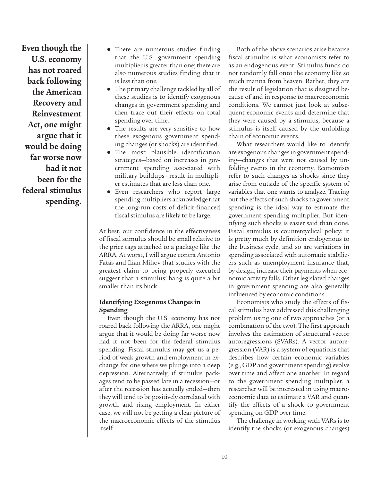**Even though the U.S. economy has not roared back following the American Recovery and Reinvestment Act, one might argue that it would be doing far worse now had it not been for the federal stimulus spending.**

- **●** There are numerous studies finding that the U.S. government spending multiplier is greater than one; there are also numerous studies finding that it is less than one.
- **●** The primary challenge tackled by all of these studies is to identify exogenous changes in government spending and then trace out their effects on total spending over time.
- **●** The results are very sensitive to how these exogenous government spending changes (or shocks) are identified.
- **●** The most plausible identification strategies—based on increases in government spending associated with military buildups—result in multiplier estimates that are less than one.
- **●** Even researchers who report large spending multipliers acknowledge that the long-run costs of deficit-financed fiscal stimulus are likely to be large.

At best, our confidence in the effectiveness of fiscal stimulus should be small relative to the price tags attached to a package like the ARRA. At worst, I will argue contra Antonio Fatás and Ilian Mihov that studies with the greatest claim to being properly executed suggest that a stimulus' bang is quite a bit smaller than its buck.

### **Identifying Exogenous Changes in Spending**

Even though the U.S. economy has not roared back following the ARRA, one might argue that it would be doing far worse now had it not been for the federal stimulus spending. Fiscal stimulus may get us a period of weak growth and employment in exchange for one where we plunge into a deep depression. Alternatively, if stimulus packages tend to be passed late in a recession—or after the recession has actually ended—then they will tend to be positively correlated with growth and rising employment. In either case, we will not be getting a clear picture of the macroeconomic effects of the stimulus itself.

Both of the above scenarios arise because fiscal stimulus is what economists refer to as an endogenous event. Stimulus funds do not randomly fall onto the economy like so much manna from heaven. Rather, they are the result of legislation that is designed because of and in response to macroeconomic conditions. We cannot just look at subsequent economic events and determine that they were caused by a stimulus, because a stimulus is itself caused by the unfolding chain of economic events.

What researchers would like to identify are exogenous changes in government spending—changes that were not caused by unfolding events in the economy. Economists refer to such changes as shocks since they arise from outside of the specific system of variables that one wants to analyze. Tracing out the effects of such shocks to government spending is the ideal way to estimate the government spending multiplier. But identifying such shocks is easier said than done. Fiscal stimulus is countercyclical policy; it is pretty much by definition endogenous to the business cycle, and so are variations in spending associated with automatic stabilizers such as unemployment insurance that, by design, increase their payments when economic activity falls. Other legislated changes in government spending are also generally influenced by economic conditions.

Economists who study the effects of fiscal stimulus have addressed this challenging problem using one of two approaches (or a combination of the two). The first approach involves the estimation of structural vector autoregressions (SVARs). A vector autoregression (VAR) is a system of equations that describes how certain economic variables (e.g., GDP and government spending) evolve over time and affect one another. In regard to the government spending multiplier, a researcher will be interested in using macroeconomic data to estimate a VAR and quantify the effects of a shock to government spending on GDP over time.

The challenge in working with VARs is to identify the shocks (or exogenous changes)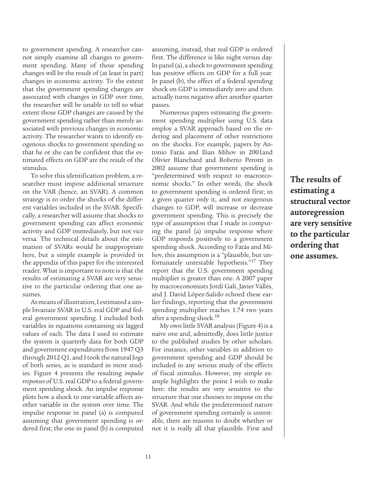to government spending. A researcher cannot simply examine all changes to government spending. Many of those spending changes will be the result of (at least in part) changes in economic activity. To the extent that the government spending changes are associated with changes in GDP over time, the researcher will be unable to tell to what extent those GDP changes are caused by the government spending rather than merely associated with previous changes in economic activity. The researcher wants to identify exogenous shocks to government spending so that he or she can be confident that the estimated effects on GDP are the result of the stimulus.

To solve this identification problem, a researcher must impose additional structure on the VAR (hence, an SVAR). A common strategy is to order the shocks of the different variables included in the SVAR. Specifically, a researcher will assume that shocks to government spending can affect economic activity and GDP immediately, but not vice versa. The technical details about the estimation of SVARs would be inappropriate here, but a simple example is provided in the appendix of this paper for the interested reader. What is important to note is that the results of estimating a SVAR are very sensitive to the particular ordering that one assumes.

As means of illustration, I estimated a simple bivariate SVAR in U.S. real GDP and federal government spending. I included both variables in equations containing six lagged values of each. The data I used to estimate the system is quarterly data for both GDP and government expenditures from 1947 Q3 through 2012 Q1, and I took the natural logs of both series, as is standard in most studies. Figure 4 presents the resulting *impulse responses* of U.S. real GDP to a federal government spending shock. An impulse response plots how a shock to one variable affects another variable in the system over time. The impulse response in panel (a) is computed assuming that government spending is ordered first; the one in panel (b) is computed assuming, instead, that real GDP is ordered first. The difference is like night versus day. In panel (a), a shock to government spending has positive effects on GDP for a full year. In panel (b), the effect of a federal spending shock on GDP is immediately zero and then actually turns negative after another quarter passes.

Numerous papers estimating the government spending multiplier using U.S. data employ a SVAR approach based on the ordering and placement of other restrictions on the shocks. For example, papers by Antonio Fatás and Ilian Mihov in 2001and Olivier Blanchard and Roberto Perotti in 2002 assume that government spending is "predetermined with respect to macroeconomic shocks." In other words, the shock to government spending is ordered first; in a given quarter only it, and not exogenous changes to GDP, will increase or decrease government spending. This is precisely the type of assumption that I made in computing the panel (a) impulse response where GDP responds positively to a government spending shock. According to Fatás and Mihov, this assumption is a "plausible, but unfortunately untestable hypothesis."<sup>17</sup> They report that the U.S. government spending multiplier is greater than one. A 2007 paper by macroeconomists Jordí Gali, Javier Vallés, and J. David López-Salido echoed these earlier findings, reporting that the government spending multiplier reaches 1.74 two years after a spending shock.18

My own little SVAR analysis (Figure 4) is a naive one and, admittedly, does little justice to the published studies by other scholars. For instance, other variables in addition to government spending and GDP should be included in any serious study of the effects of fiscal stimulus. However, my simple example highlights the point I wish to make here: the results are very sensitive to the structure that one chooses to impose on the SVAR. And while the predetermined nature of government spending certainly is untestable, there are reasons to doubt whether or not it is really all that plausible. First and

**The results of estimating a structural vector autoregression are very sensitive to the particular ordering that one assumes.**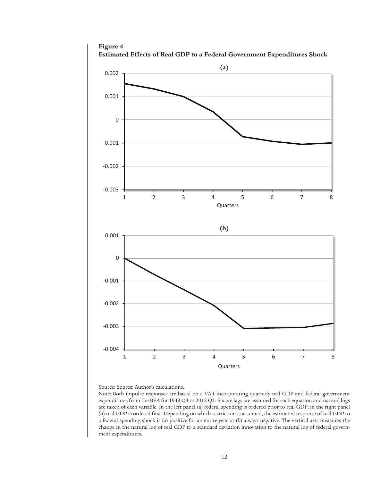

Source: Source: Author's calculations.

Note: Both impulse responses are based on a VAR incorporating quarterly real GDP and federal government expenditures from the BEA for 1948 Q3 to 2012 Q1. Six are lags are assumed for each equation and natural logs are taken of each variable. In the left panel (a) federal spending is ordered prior to real GDP; in the right panel (b) real GDP is ordered first. Depending on which restriction is assumed, the estimated response of real GDP to a federal spending shock is (a) positive for an entire year or (b) always negative. The vertical axis measures the change in the natural log of real GDP to a standard deviation innovation to the natural log of federal government expenditures.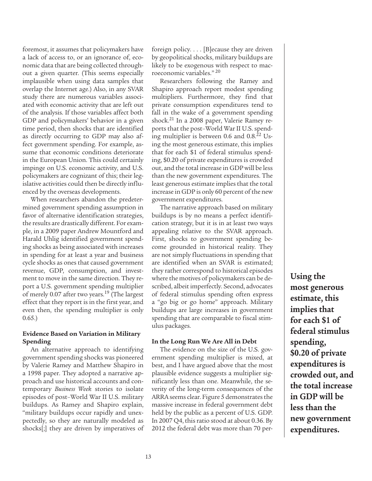foremost, it assumes that policymakers have a lack of access to, or an ignorance of, economic data that are being collected throughout a given quarter. (This seems especially implausible when using data samples that overlap the Internet age.) Also, in any SVAR study there are numerous variables associated with economic activity that are left out of the analysis. If those variables affect both GDP and policymakers' behavior in a given time period, then shocks that are identified as directly occurring to GDP may also affect government spending. For example, assume that economic conditions deteriorate in the European Union. This could certainly impinge on U.S. economic activity, and U.S. policymakers are cognizant of this; their legislative activities could then be directly influenced by the overseas developments.

When researchers abandon the predetermined government spending assumption in favor of alternative identification strategies, the results are drastically different. For example, in a 2009 paper Andrew Mountford and Harald Uhlig identified government spending shocks as being associated with increases in spending for at least a year and business cycle shocks as ones that caused government revenue, GDP, consumption, and investment to move in the same direction. They report a U.S. government spending multiplier of merely 0.07 after two years.<sup>19</sup> (The largest effect that they report is in the first year, and even then, the spending multiplier is only 0.65.)

### **Evidence Based on Variation in Military Spending**

An alternative approach to identifying government spending shocks was pioneered by Valerie Ramey and Matthew Shapiro in a 1998 paper. They adopted a narrative approach and use historical accounts and contemporary *Business Week* stories to isolate episodes of post–World War II U.S. military buildups. As Ramey and Shapiro explain, "military buildups occur rapidly and unexpectedly, so they are naturally modeled as shocks[;] they are driven by imperatives of foreign policy. . . . [B]ecause they are driven by geopolitical shocks, military buildups are likely to be exogenous with respect to macroeconomic variables." 20

Researchers following the Ramey and Shapiro approach report modest spending multipliers. Furthermore, they find that private consumption expenditures tend to fall in the wake of a government spending shock.<sup>21</sup> In a 2008 paper, Valerie Ramey reports that the post–World War II U.S. spending multiplier is between 0.6 and  $0.8<sup>22</sup>$  Using the most generous estimate, this implies that for each \$1 of federal stimulus spending, \$0.20 of private expenditures is crowded out, and the total increase in GDP will be less than the new government expenditures. The least generous estimate implies that the total increase in GDP is only 60 percent of the new government expenditures.

The narrative approach based on military buildups is by no means a perfect identification strategy, but it is in at least two ways appealing relative to the SVAR approach. First, shocks to government spending become grounded in historical reality. They are not simply fluctuations in spending that are identified when an SVAR is estimated; they rather correspond to historical episodes where the motives of policymakers can be described, albeit imperfectly. Second, advocates of federal stimulus spending often express a "go big or go home" approach. Military buildups are large increases in government spending that are comparable to fiscal stimulus packages.

#### **In the Long Run We Are All in Debt**

The evidence on the size of the U.S. government spending multiplier is mixed, at best, and I have argued above that the most plausible evidence suggests a multiplier significantly less than one. Meanwhile, the severity of the long-term consequences of the ARRA seems clear. Figure 5 demonstrates the massive increase in federal government debt held by the public as a percent of U.S. GDP. In 2007 Q4, this ratio stood at about 0.36. By 2012 the federal debt was more than 70 per**Using the most generous estimate, this implies that for each \$1 of federal stimulus spending, \$0.20 of private expenditures is crowded out, and the total increase in GDP will be less than the new government expenditures.**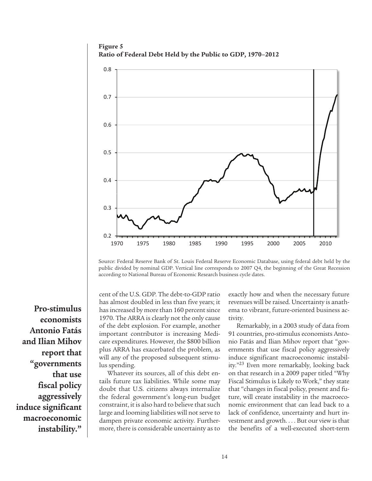**Figure 5 Ratio of Federal Debt Held by the Public to GDP, 1970–2012**



Source: Federal Reserve Bank of St. Louis Federal Reserve Economic Database, using federal debt held by the public divided by nominal GDP. Vertical line corresponds to 2007 Q4, the beginning of the Great Recession according to National Bureau of Economic Research business cycle dates.

**Pro-stimulus economists Antonio Fatás and Ilian Mihov report that "governments that use fiscal policy aggressively induce significant macroeconomic instability."**

cent of the U.S. GDP. The debt-to-GDP ratio has almost doubled in less than five years; it has increased by more than 160 percent since 1970. The ARRA is clearly not the only cause of the debt explosion. For example, another important contributor is increasing Medicare expenditures. However, the \$800 billion plus ARRA has exacerbated the problem, as will any of the proposed subsequent stimulus spending.

Whatever its sources, all of this debt entails future tax liabilities. While some may doubt that U.S. citizens always internalize the federal government's long-run budget constraint, it is also hard to believe that such large and looming liabilities will not serve to dampen private economic activity. Furthermore, there is considerable uncertainty as to exactly how and when the necessary future revenues will be raised. Uncertainty is anathema to vibrant, future-oriented business activity.

Remarkably, in a 2003 study of data from 91 countries, pro-stimulus economists Antonio Fatás and Ilian Mihov report that "governments that use fiscal policy aggressively induce significant macroeconomic instability."23 Even more remarkably, looking back on that research in a 2009 paper titled "Why Fiscal Stimulus is Likely to Work," they state that "changes in fiscal policy, present and future, will create instability in the macroeconomic environment that can lead back to a lack of confidence, uncertainty and hurt investment and growth. . . . But our view is that the benefits of a well-executed short-term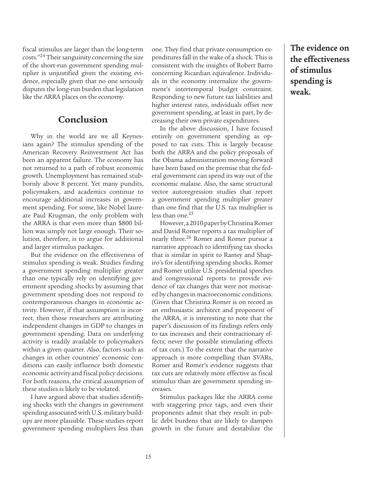fiscal stimulus are larger than the long-term costs."24 Their sanguinity concerning the size of the short-run government spending multiplier is unjustified given the existing evidence, especially given that no one seriously disputes the long-run burden that legislation like the ARRA places on the economy.

### **Conclusion**

Why in the world are we all Keynesians again? The stimulus spending of the American Recovery Reinvestment Act has been an apparent failure. The economy has not returned to a path of robust economic growth. Unemployment has remained stubbornly above 8 percent. Yet many pundits, policymakers, and academics continue to encourage additional increases in government spending. For some, like Nobel laureate Paul Krugman, the only problem with the ARRA is that even more than \$800 billion was simply not large enough. Their solution, therefore, is to argue for additional and larger stimulus packages.

But the evidence on the effectiveness of stimulus spending is weak. Studies finding a government spending multiplier greater than one typically rely on identifying government spending shocks by assuming that government spending does not respond to contemporaneous changes in economic activity. However, if that assumption is incorrect, then those researchers are attributing independent changes in GDP to changes in government spending. Data on underlying activity is readily available to policymakers within a given quarter. Also, factors such as changes in other countries' economic conditions can easily influence both domestic economic activity and fiscal policy decisions. For both reasons, the critical assumption of these studies is likely to be violated.

I have argued above that studies identifying shocks with the changes in government spending associated with U.S. military buildups are more plausible. These studies report government spending multipliers less than one. They find that private consumption expenditures fall in the wake of a shock. This is consistent with the insights of Robert Barro concerning Ricardian equivalence. Individuals in the economy internalize the government's intertemporal budget constraint. Responding to new future tax liabilities and higher interest rates, individuals offset new government spending, at least in part, by decreasing their own private expenditures.

In the above discussion, I have focused entirely on government spending as opposed to tax cuts. This is largely because both the ARRA and the policy proposals of the Obama administration moving forward have been based on the premise that the federal government can spend its way out of the economic malaise. Also, the same structural vector autoregression studies that report a government spending multiplier greater than one find that the U.S. tax multiplier is less than one. $25$ 

However, a 2010 paper by Christina Romer and David Romer reports a tax multiplier of nearly three.<sup>26</sup> Romer and Romer pursue a narrative approach to identifying tax shocks that is similar in spirit to Ramey and Shapiro's for identifying spending shocks. Romer and Romer utilize U.S. presidential speeches and congressional reports to provide evidence of tax changes that were not motivated by changes in macroeconomic conditions. (Given that Christina Romer is on record as an enthusiastic architect and proponent of the ARRA, it is interesting to note that the paper's discussion of its findings refers only to tax increases and their contractionary effects; never the possible stimulating effects of tax cuts.) To the extent that the narrative approach is more compelling than SVARs, Romer and Romer's evidence suggests that tax cuts are relatively more effective as fiscal stimulus than are government spending increases.

Stimulus packages like the ARRA come with staggering price tags, and even their proponents admit that they result in public debt burdens that are likely to dampen growth in the future and destabilize the

**The evidence on the effectiveness of stimulus spending is weak.**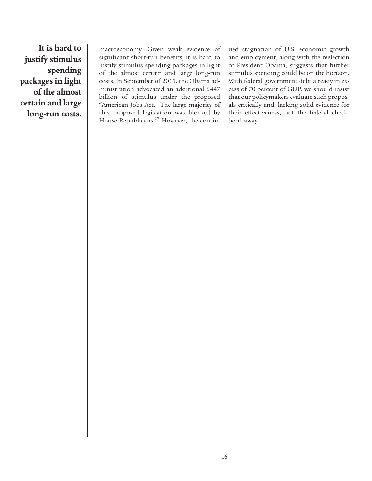**It is hard to justify stimulus spending packages in light of the almost certain and large long-run costs.**

macroeconomy. Given weak evidence of significant short-run benefits, it is hard to justify stimulus spending packages in light of the almost certain and large long-run costs. In September of 2011, the Obama administration advocated an additional \$447 billion of stimulus under the proposed "American Jobs Act." The large majority of this proposed legislation was blocked by House Republicans.<sup>27</sup> However, the continued stagnation of U.S. economic growth and employment, along with the reelection of President Obama, suggests that further stimulus spending could be on the horizon. With federal government debt already in excess of 70 percent of GDP, we should insist that our policymakers evaluate such proposals critically and, lacking solid evidence for their effectiveness, put the federal checkbook away.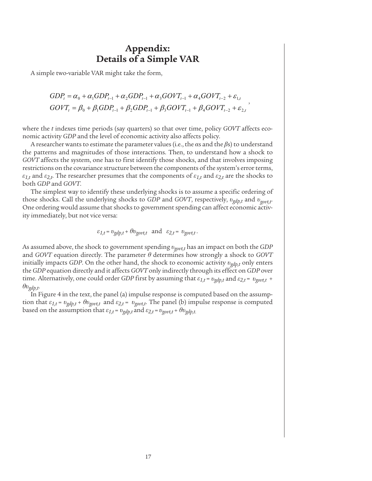# **Appendix: Details of a Simple VAR**

A simple two-variable VAR might take the form,

$$
GDP_{t} = \alpha_{0} + \alpha_{1} GDP_{t-1} + \alpha_{2} GDP_{t-1} + \alpha_{3} GOVT_{t-1} + \alpha_{4} GOVT_{t-2} + \varepsilon_{1,t}
$$
  
\n
$$
GOVT_{t} = \beta_{0} + \beta_{1} GDP_{t-1} + \beta_{2} GDP_{t-1} + \beta_{3} GOVT_{t-1} + \beta_{4} GOVT_{t-2} + \varepsilon_{2,t}
$$

where the *t* indexes time periods (say quarters) so that over time, policy *GOVT* affects economic activity *GDP* and the level of economic activity also affects policy.

A researcher wants to estimate the parameter values (i.e., the *α*s and the *β*s) to understand the patterns and magnitudes of those interactions. Then, to understand how a shock to *GOVT* affects the system, one has to first identify those shocks, and that involves imposing restrictions on the covariance structure between the components of the system's error terms, *ε*<sub>1,t</sub> and  $\varepsilon_{2,t}$ . The researcher presumes that the components of  $\varepsilon_{1,t}$  and  $\varepsilon_{2,t}$  are the shocks to both *GDP* and *GOVT*.

The simplest way to identify these underlying shocks is to assume a specific ordering of those shocks. Call the underlying shocks to *GDP* and *GOVT*, respectively, *υgdp,t* and *υgovt,t*. One ordering would assume that shocks to government spending can affect economic activity immediately, but not vice versa:

$$
\varepsilon_{1,t} = v_{gdp,t} + \theta v_{govt,t}
$$
 and  $\varepsilon_{2,t} = v_{govt,t}$ .

As assumed above, the shock to government spending *υgovt,t* has an impact on both the *GDP* and *GOVT* equation directly. The parameter *θ* determines how strongly a shock to *GOVT* initially impacts *GDP*. On the other hand, the shock to economic activity *υgdp,t* only enters the *GDP* equation directly and it affects *GOVT* only indirectly through its effect on *GDP* over time. Alternatively, one could order *GDP* first by assuming that  $\varepsilon_{1,t} = v_{gdp,t}$  and  $\varepsilon_{2,t} = v_{govt,t}$  + *θυgdp,t*.

In Figure 4 in the text, the panel (a) impulse response is computed based on the assumption that  $\varepsilon_{1,t} = v_{gdp,t} + \theta v_{gout,t}$  and  $\varepsilon_{2,t} = v_{gout,t}$ . The panel (b) impulse response is computed based on the assumption that  $\varepsilon_{1,t} = v_{gdp,t}$  and  $\varepsilon_{2,t} = v_{govt,t} + \theta v_{gdp,t}$ .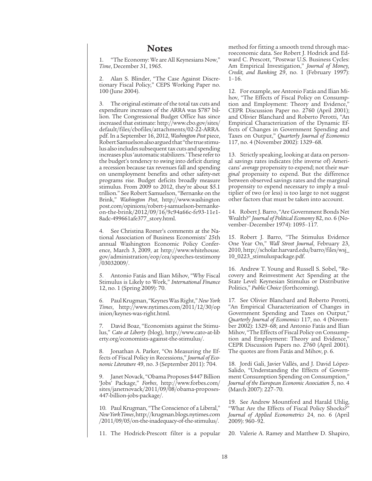### **Notes**

1. "The Economy: We are All Keynesians Now," *Time*, December 31, 1965.

2. Alan S. Blinder, "The Case Against Discretionary Fiscal Policy," CEPS Working Paper no. 100 (June 2004).

3. The original estimate of the total tax cuts and expenditure increases of the ARRA was \$787 billion. The Congressional Budget Office has since increased that estimate: http://www.cbo.gov/sites/ default/files/cbofiles/attachments/02-22-ARRA. pdf. In a September 16, 2012, *Washington Post* piece, Robert Samuelson also argued that "the true stimulus also includes subsequent tax cuts and spending increases plus 'automatic stabilizers.' These refer to the budget's tendency to swing into deficit during a recession because tax revenues fall and spending on unemployment benefits and other safety-net programs rise. Budget deficits broadly measure stimulus. From 2009 to 2012, they're about \$5.1 trillion." See Robert Samuelson, "Bernanke on the Brink," *Washington Post*, http://www.washington post.com/opinions/robert-j-samuelson-bernankeon-the-brink/2012/09/16/9c94a66c-fe93-11e1- 8adc-499661afe377\_story.html.

4. See Christina Romer's comments at the National Association of Business Economists' 25th annual Washington Economic Policy Conference, March 3, 2009, at http://www.whitehouse. gov/administration/eop/cea/speeches-testimony /03032009/.

5. Antonio Fatás and Ilian Mihov, "Why Fiscal Stimulus is Likely to Work," *International Finance*  12, no. 1 (Spring 2009): 70.

6. Paul Krugman, "Keynes Was Right," *New York Times*, http://www.nytimes.com/2011/12/30/op inion/keynes-was-right.html.

David Boaz, "Economists against the Stimulus," *Cato at Liberty* (blog), http://www.cato-at-lib erty.org/economists-against-the-stimulus/.

8. Jonathan A. Parker, "On Measuring the Effects of Fiscal Policy in Recessions," *Journal of Economic Literature* 49, no. 3 (September 2011): 704.

Janet Novack, "Obama Proposes \$447 Billion 'Jobs' Package," *Forbes*, http://www.forbes.com/ sites/janetnovack/2011/09/08/obama-proposes-447-billion-jobs-package/.

10. Paul Krugman, "The Conscience of a Liberal," *New York Times*, http://krugman.blogs.nytimes.com /2011/09/05/on-the-inadequacy-of-the-stimulus/.

11. The Hodrick-Prescott filter is a popular

method for fitting a smooth trend through macroeconomic data. See Robert J. Hodrick and Edward C. Prescott, "Postwar U.S. Business Cycles: Am Empirical Investigation," *Journal of Money, Credit, and Banking* 29, no. 1 (February 1997):  $1 - 16$ .

12. For example, see Antonio Fatás and Ilian Mihov, "The Effects of Fiscal Policy on Consumption and Employment: Theory and Evidence," CEPR Discussion Paper no. 2760 (April 2001); and Olivier Blanchard and Roberto Perotti, "An Empirical Characterization of the Dynamic Effects of Changes in Government Spending and Taxes on Output," *Quarterly Journal of Economics* 117, no. 4 (November 2002): 1329–68.

13. Strictly speaking, looking at data on personal savings rates indicates (the inverse of) Americans' *average* propensity to expend; not their *marginal* propensity to expend. But the difference between observed savings rates and the marginal propensity to expend necessary to imply a multiplier of two (or less) is too large to not suggest other factors that must be taken into account.

14. Robert J. Barro, "Are Government Bonds Net Wealth?" *Journal of Political Economy* 82, no. 6 (November–December 1974): 1095–117.

15. Robert J. Barro, "The Stimulus Evidence One Year On," *Wall Street Journal*, February 23, 2010, http://scholar.harvard.edu/barro/files/wsj\_ 10\_0223\_stimuluspackage.pdf.

16. Andrew T. Young and Russell S. Sobel, "Recovery and Reinvestment Act Spending at the State Level: Keynesian Stimulus or Distributive Politics," *Public Choice* (forthcoming).

17. See Olivier Blanchard and Roberto Perotti, "An Empirical Characterization of Changes in Government Spending and Taxes on Output," *Quarterly Journal of Economics* 117, no. 4 (November 2002): 1329–68; and Antonio Fatás and Ilian Mihov, "The Effects of Fiscal Policy on Consumption and Employment: Theory and Evidence, CEPR Discussion Papers no. 2760 (April 2001). The quotes are from Fatás and Mihov, p. 6.

18. Jordí Gali, Javier Vallés, and J. David López-Salido, "Understanding the Effects of Government Consumption Spending on Consumption," *Journal of the European Economic Association* 5, no. 4 (March 2007): 227–70.

19. See Andrew Mountford and Harald Uhlig, "What Are the Effects of Fiscal Policy Shocks?" *Journal of Applied Econometrics* 24, no. 6 (April 2009): 960–92.

20. Valerie A. Ramey and Matthew D. Shapiro,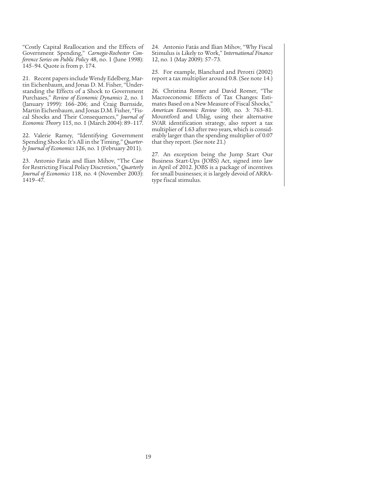"Costly Capital Reallocation and the Effects of Government Spending," *Carnegie-Rochester Conference Series on Public Policy* 48, no. 1 (June 1998): 145–94. Quote is from p. 174.

21. Recent papers include Wendy Edelberg, Martin Eichenbaum, and Jonas D. M. Fisher, "Understanding the Effects of a Shock to Government Purchases," *Review of Economic Dynamics* 2, no. 1 (January 1999): 166–206; and Craig Burnside, Martin Eichenbaum, and Jonas D.M. Fisher, "Fiscal Shocks and Their Consequences," *Journal of Economic Theory* 115, no. 1 (March 2004): 89–117.

22. Valerie Ramey, "Identifying Government Spending Shocks: It's All in the Timing," *Quarterly Journal of Economics* 126, no. 1 (February 2011).

23. Antonio Fatás and Ilian Mihov, "The Case for Restricting Fiscal Policy Discretion," *Quarterly Journal of Economics* 118, no. 4 (November 2003): 1419–47.

24. Antonio Fatás and Ilian Mihov, "Why Fiscal Stimulus is Likely to Work," I*nternational Finance* 12, no. 1 (May 2009): 57–73.

25. For example, Blanchard and Perotti (2002) report a tax multiplier around 0.8. (See note 14.)

26. Christina Romer and David Romer, "The Macroeconomic Effects of Tax Changes: Estimates Based on a New Measure of Fiscal Shocks," *American Economic Review* 100, no. 3: 763–81. Mountford and Uhlig, using their alternative SVAR identification strategy, also report a tax multiplier of 1.63 after two years, which is considerably larger than the spending multiplier of 0.07 that they report. (See note 21.)

27. An exception being the Jump Start Our Business Start-Ups (JOBS) Act, signed into law in April of 2012. JOBS is a package of incentives for small businesses; it is largely devoid of ARRAtype fiscal stimulus.